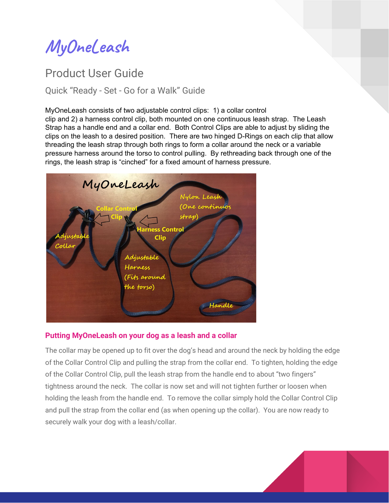**MyOneLeash**

# Product User Guide

Quick "Ready - Set - Go for a Walk" Guide

#### MyOneLeash consists of two adjustable control clips: 1) a collar control

clip and 2) a harness control clip, both mounted on one continuous leash strap. The Leash Strap has a handle end and a collar end. Both Control Clips are able to adjust by sliding the clips on the leash to a desired position. There are two hinged D-Rings on each clip that allow threading the leash strap through both rings to form a collar around the neck or a variable pressure harness around the torso to control pulling. By rethreading back through one of the rings, the leash strap is "cinched" for a fixed amount of harness pressure.



#### **Putting MyOneLeash on your dog as a leash and a collar**

The collar may be opened up to fit over the dog's head and around the neck by holding the edge of the Collar Control Clip and pulling the strap from the collar end. To tighten, holding the edge of the Collar Control Clip, pull the leash strap from the handle end to about "two fingers" tightness around the neck. The collar is now set and will not tighten further or loosen when holding the leash from the handle end. To remove the collar simply hold the Collar Control Clip and pull the strap from the collar end (as when opening up the collar). You are now ready to securely walk your dog with a leash/collar.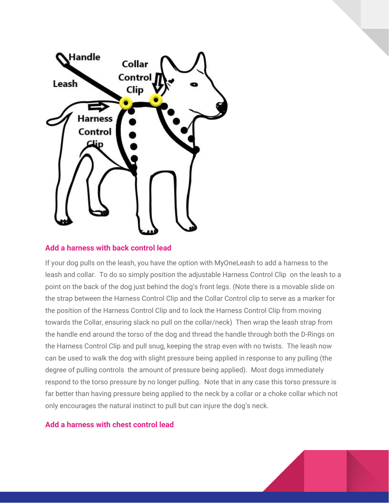

#### **Add a harness with back control lead**

If your dog pulls on the leash, you have the option with MyOneLeash to add a harness to the leash and collar. To do so simply position the adjustable Harness Control Clip on the leash to a point on the back of the dog just behind the dog's front legs. (Note there is a movable slide on the strap between the Harness Control Clip and the Collar Control clip to serve as a marker for the position of the Harness Control Clip and to lock the Harness Control Clip from moving towards the Collar, ensuring slack no pull on the collar/neck) Then wrap the leash strap from the handle end around the torso of the dog and thread the handle through both the D-Rings on the Harness Control Clip and pull snug, keeping the strap even with no twists. The leash now can be used to walk the dog with slight pressure being applied in response to any pulling (the degree of pulling controls the amount of pressure being applied). Most dogs immediately respond to the torso pressure by no longer pulling. Note that in any case this torso pressure is far better than having pressure being applied to the neck by a collar or a choke collar which not only encourages the natural instinct to pull but can injure the dog's neck.

#### **Add a harness with chest control lead**